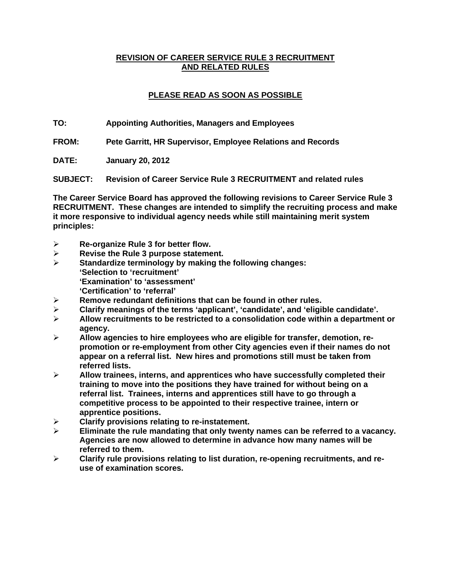## **REVISION OF CAREER SERVICE RULE 3 RECRUITMENT AND RELATED RULES**

# **PLEASE READ AS SOON AS POSSIBLE**

**TO: Appointing Authorities, Managers and Employees** 

**FROM: Pete Garritt, HR Supervisor, Employee Relations and Records** 

**DATE: January 20, 2012** 

**SUBJECT: Revision of Career Service Rule 3 RECRUITMENT and related rules** 

**The Career Service Board has approved the following revisions to Career Service Rule 3 RECRUITMENT. These changes are intended to simplify the recruiting process and make it more responsive to individual agency needs while still maintaining merit system principles:** 

- ¾ **Re-organize Rule 3 for better flow.**
- ¾ **Revise the Rule 3 purpose statement.**
- ¾ **Standardize terminology by making the following changes: 'Selection to 'recruitment' 'Examination' to 'assessment'** 
	- **'Certification' to 'referral'**
- ¾ **Remove redundant definitions that can be found in other rules.**
- ¾ **Clarify meanings of the terms 'applicant', 'candidate', and 'eligible candidate'.**
- ¾ **Allow recruitments to be restricted to a consolidation code within a department or agency.**
- ¾ **Allow agencies to hire employees who are eligible for transfer, demotion, repromotion or re-employment from other City agencies even if their names do not appear on a referral list. New hires and promotions still must be taken from referred lists.**
- ¾ **Allow trainees, interns, and apprentices who have successfully completed their training to move into the positions they have trained for without being on a referral list. Trainees, interns and apprentices still have to go through a competitive process to be appointed to their respective trainee, intern or apprentice positions.**
- ¾ **Clarify provisions relating to re-instatement.**
- ¾ **Eliminate the rule mandating that only twenty names can be referred to a vacancy. Agencies are now allowed to determine in advance how many names will be referred to them.**
- ¾ **Clarify rule provisions relating to list duration, re-opening recruitments, and reuse of examination scores.**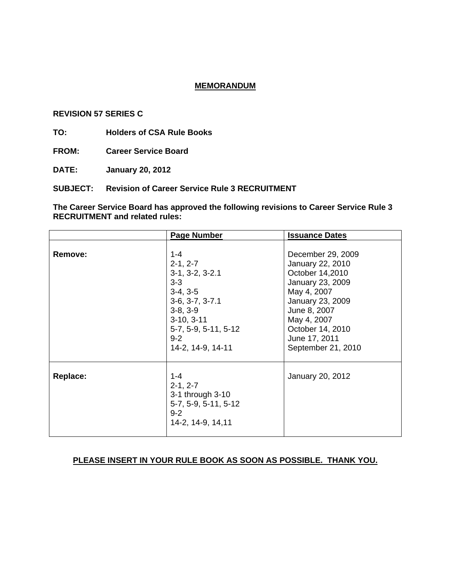#### **MEMORANDUM**

#### **REVISION 57 SERIES C**

**TO: Holders of CSA Rule Books** 

**FROM: Career Service Board** 

**DATE: January 20, 2012** 

**SUBJECT: Revision of Career Service Rule 3 RECRUITMENT** 

**The Career Service Board has approved the following revisions to Career Service Rule 3 RECRUITMENT and related rules:**

|          | <b>Page Number</b>                                                                                                                                                             | <b>Issuance Dates</b>                                                                                                                                                                                     |
|----------|--------------------------------------------------------------------------------------------------------------------------------------------------------------------------------|-----------------------------------------------------------------------------------------------------------------------------------------------------------------------------------------------------------|
| Remove:  | $1 - 4$<br>$2-1, 2-7$<br>$3-1, 3-2, 3-2.1$<br>$3 - 3$<br>$3-4, 3-5$<br>$3-6, 3-7, 3-7.1$<br>$3-8, 3-9$<br>$3-10, 3-11$<br>5-7, 5-9, 5-11, 5-12<br>$9 - 2$<br>14-2, 14-9, 14-11 | December 29, 2009<br>January 22, 2010<br>October 14,2010<br>January 23, 2009<br>May 4, 2007<br>January 23, 2009<br>June 8, 2007<br>May 4, 2007<br>October 14, 2010<br>June 17, 2011<br>September 21, 2010 |
| Replace: | $1 - 4$<br>$2-1, 2-7$<br>3-1 through 3-10<br>5-7, 5-9, 5-11, 5-12<br>$9 - 2$<br>14-2, 14-9, 14, 11                                                                             | January 20, 2012                                                                                                                                                                                          |

### **PLEASE INSERT IN YOUR RULE BOOK AS SOON AS POSSIBLE. THANK YOU.**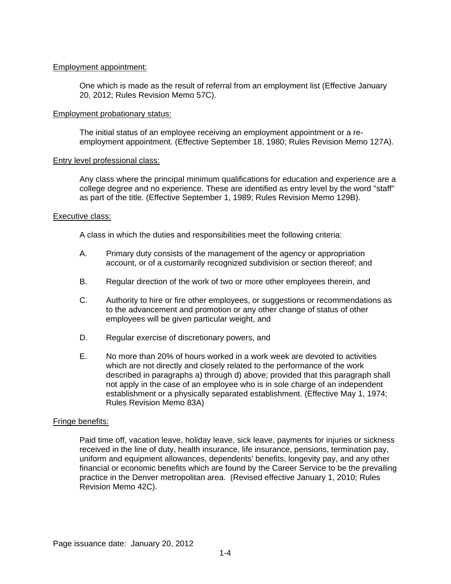### Employment appointment:

One which is made as the result of referral from an employment list (Effective January 20, 2012; Rules Revision Memo 57C).

#### Employment probationary status:

The initial status of an employee receiving an employment appointment or a reemployment appointment. (Effective September 18, 1980; Rules Revision Memo 127A).

### Entry level professional class:

Any class where the principal minimum qualifications for education and experience are a college degree and no experience. These are identified as entry level by the word "staff" as part of the title. (Effective September 1, 1989; Rules Revision Memo 129B).

### Executive class:

A class in which the duties and responsibilities meet the following criteria:

- A. Primary duty consists of the management of the agency or appropriation account, or of a customarily recognized subdivision or section thereof; and
- B. Regular direction of the work of two or more other employees therein, and
- C. Authority to hire or fire other employees, or suggestions or recommendations as to the advancement and promotion or any other change of status of other employees will be given particular weight, and
- D. Regular exercise of discretionary powers, and
- E. No more than 20% of hours worked in a work week are devoted to activities which are not directly and closely related to the performance of the work described in paragraphs a) through d) above; provided that this paragraph shall not apply in the case of an employee who is in sole charge of an independent establishment or a physically separated establishment. (Effective May 1, 1974; Rules Revision Memo 83A)

#### Fringe benefits:

Paid time off, vacation leave, holiday leave, sick leave, payments for injuries or sickness received in the line of duty, health insurance, life insurance, pensions, termination pay, uniform and equipment allowances, dependents' benefits, longevity pay, and any other financial or economic benefits which are found by the Career Service to be the prevailing practice in the Denver metropolitan area. (Revised effective January 1, 2010; Rules Revision Memo 42C).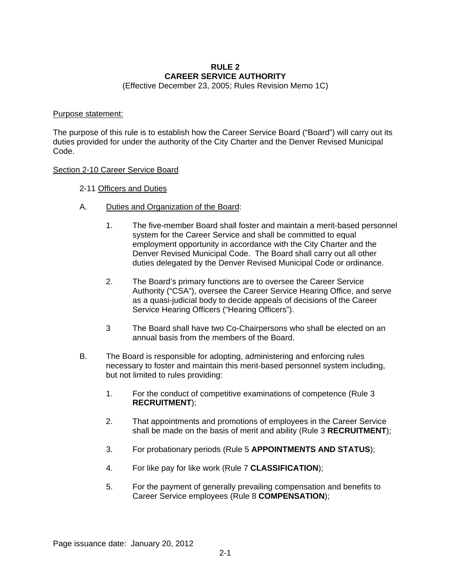# **RULE 2 CAREER SERVICE AUTHORITY**

(Effective December 23, 2005; Rules Revision Memo 1C)

#### Purpose statement:

The purpose of this rule is to establish how the Career Service Board ("Board") will carry out its duties provided for under the authority of the City Charter and the Denver Revised Municipal Code.

#### Section 2-10 Career Service Board

### 2-11 Officers and Duties

- A. Duties and Organization of the Board:
	- 1. The five-member Board shall foster and maintain a merit-based personnel system for the Career Service and shall be committed to equal employment opportunity in accordance with the City Charter and the Denver Revised Municipal Code. The Board shall carry out all other duties delegated by the Denver Revised Municipal Code or ordinance.
	- 2. The Board's primary functions are to oversee the Career Service Authority ("CSA"), oversee the Career Service Hearing Office, and serve as a quasi-judicial body to decide appeals of decisions of the Career Service Hearing Officers ("Hearing Officers").
	- 3 The Board shall have two Co-Chairpersons who shall be elected on an annual basis from the members of the Board.
- B. The Board is responsible for adopting, administering and enforcing rules necessary to foster and maintain this merit-based personnel system including, but not limited to rules providing:
	- 1. For the conduct of competitive examinations of competence (Rule 3 **RECRUITMENT**);
	- 2. That appointments and promotions of employees in the Career Service shall be made on the basis of merit and ability (Rule 3 **RECRUITMENT**);
	- 3. For probationary periods (Rule 5 **APPOINTMENTS AND STATUS**);
	- 4. For like pay for like work (Rule 7 **CLASSIFICATION**);
	- 5. For the payment of generally prevailing compensation and benefits to Career Service employees (Rule 8 **COMPENSATION**);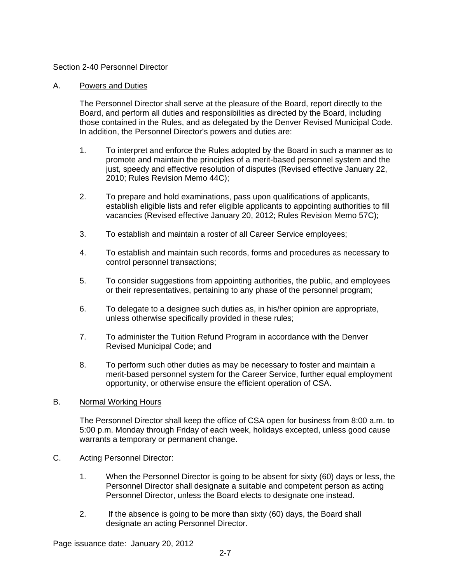## Section 2-40 Personnel Director

### A. Powers and Duties

The Personnel Director shall serve at the pleasure of the Board, report directly to the Board, and perform all duties and responsibilities as directed by the Board, including those contained in the Rules, and as delegated by the Denver Revised Municipal Code. In addition, the Personnel Director's powers and duties are:

- 1. To interpret and enforce the Rules adopted by the Board in such a manner as to promote and maintain the principles of a merit-based personnel system and the just, speedy and effective resolution of disputes (Revised effective January 22, 2010; Rules Revision Memo 44C);
- 2. To prepare and hold examinations, pass upon qualifications of applicants, establish eligible lists and refer eligible applicants to appointing authorities to fill vacancies (Revised effective January 20, 2012; Rules Revision Memo 57C);
- 3. To establish and maintain a roster of all Career Service employees;
- 4. To establish and maintain such records, forms and procedures as necessary to control personnel transactions;
- 5. To consider suggestions from appointing authorities, the public, and employees or their representatives, pertaining to any phase of the personnel program;
- 6. To delegate to a designee such duties as, in his/her opinion are appropriate, unless otherwise specifically provided in these rules;
- 7. To administer the Tuition Refund Program in accordance with the Denver Revised Municipal Code; and
- 8. To perform such other duties as may be necessary to foster and maintain a merit-based personnel system for the Career Service, further equal employment opportunity, or otherwise ensure the efficient operation of CSA.

#### B. Normal Working Hours

The Personnel Director shall keep the office of CSA open for business from 8:00 a.m. to 5:00 p.m. Monday through Friday of each week, holidays excepted, unless good cause warrants a temporary or permanent change.

#### C. Acting Personnel Director:

- 1. When the Personnel Director is going to be absent for sixty (60) days or less, the Personnel Director shall designate a suitable and competent person as acting Personnel Director, unless the Board elects to designate one instead.
- 2. If the absence is going to be more than sixty (60) days, the Board shall designate an acting Personnel Director.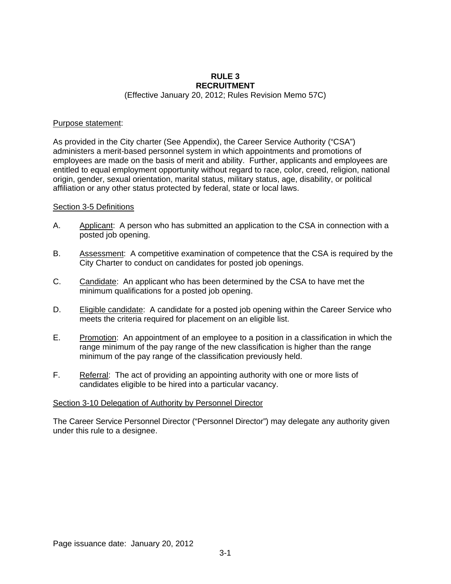#### **RULE 3 RECRUITMENT**  (Effective January 20, 2012; Rules Revision Memo 57C)

#### Purpose statement:

As provided in the City charter (See Appendix), the Career Service Authority ("CSA") administers a merit-based personnel system in which appointments and promotions of employees are made on the basis of merit and ability. Further, applicants and employees are entitled to equal employment opportunity without regard to race, color, creed, religion, national origin, gender, sexual orientation, marital status, military status, age, disability, or political affiliation or any other status protected by federal, state or local laws.

### Section 3-5 Definitions

- A. Applicant: A person who has submitted an application to the CSA in connection with a posted job opening.
- B. Assessment: A competitive examination of competence that the CSA is required by the City Charter to conduct on candidates for posted job openings.
- C. Candidate: An applicant who has been determined by the CSA to have met the minimum qualifications for a posted job opening.
- D. Eligible candidate: A candidate for a posted job opening within the Career Service who meets the criteria required for placement on an eligible list.
- E. Promotion: An appointment of an employee to a position in a classification in which the range minimum of the pay range of the new classification is higher than the range minimum of the pay range of the classification previously held.
- F. Referral: The act of providing an appointing authority with one or more lists of candidates eligible to be hired into a particular vacancy.

#### Section 3-10 Delegation of Authority by Personnel Director

The Career Service Personnel Director ("Personnel Director") may delegate any authority given under this rule to a designee.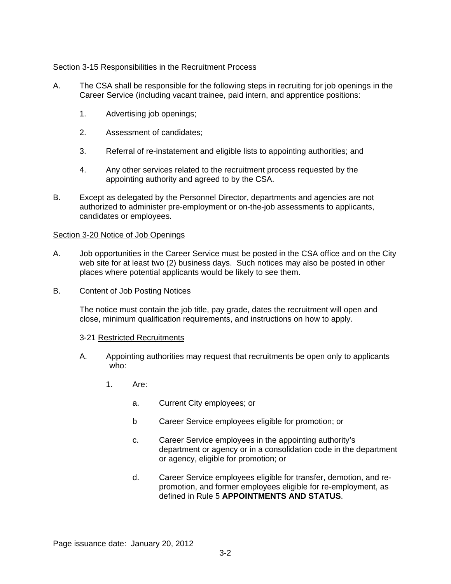## Section 3-15 Responsibilities in the Recruitment Process

- A. The CSA shall be responsible for the following steps in recruiting for job openings in the Career Service (including vacant trainee, paid intern, and apprentice positions:
	- 1. Advertising job openings;
	- 2. Assessment of candidates;
	- 3. Referral of re-instatement and eligible lists to appointing authorities; and
	- 4. Any other services related to the recruitment process requested by the appointing authority and agreed to by the CSA.
- B. Except as delegated by the Personnel Director, departments and agencies are not authorized to administer pre-employment or on-the-job assessments to applicants, candidates or employees.

## Section 3-20 Notice of Job Openings

- A. Job opportunities in the Career Service must be posted in the CSA office and on the City web site for at least two (2) business days. Such notices may also be posted in other places where potential applicants would be likely to see them.
- B. Content of Job Posting Notices

The notice must contain the job title, pay grade, dates the recruitment will open and close, minimum qualification requirements, and instructions on how to apply.

## 3-21 Restricted Recruitments

- A. Appointing authorities may request that recruitments be open only to applicants who:
	- 1. Are:
		- a. Current City employees; or
		- b Career Service employees eligible for promotion; or
		- c. Career Service employees in the appointing authority's department or agency or in a consolidation code in the department or agency, eligible for promotion; or
		- d. Career Service employees eligible for transfer, demotion, and repromotion, and former employees eligible for re-employment, as defined in Rule 5 **APPOINTMENTS AND STATUS**.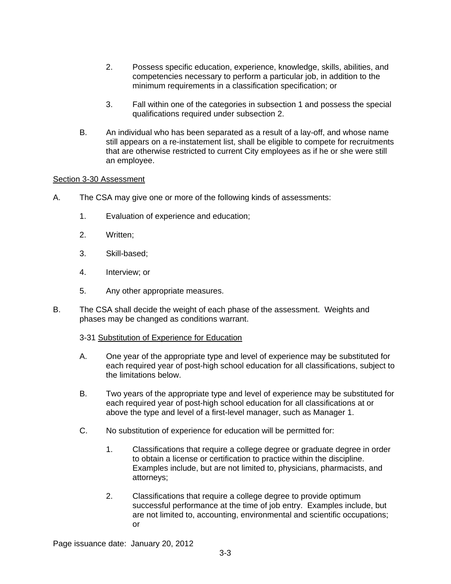- 2. Possess specific education, experience, knowledge, skills, abilities, and competencies necessary to perform a particular job, in addition to the minimum requirements in a classification specification; or
- 3. Fall within one of the categories in subsection 1 and possess the special qualifications required under subsection 2.
- B. An individual who has been separated as a result of a lay-off, and whose name still appears on a re-instatement list, shall be eligible to compete for recruitments that are otherwise restricted to current City employees as if he or she were still an employee.

### Section 3-30 Assessment

- A. The CSA may give one or more of the following kinds of assessments:
	- 1. Evaluation of experience and education;
	- 2. Written;
	- 3. Skill-based;
	- 4. Interview; or
	- 5. Any other appropriate measures.
- B. The CSA shall decide the weight of each phase of the assessment. Weights and phases may be changed as conditions warrant.

#### 3-31 Substitution of Experience for Education

- A. One year of the appropriate type and level of experience may be substituted for each required year of post-high school education for all classifications, subject to the limitations below.
- B. Two years of the appropriate type and level of experience may be substituted for each required year of post-high school education for all classifications at or above the type and level of a first-level manager, such as Manager 1.
- C. No substitution of experience for education will be permitted for:
	- 1. Classifications that require a college degree or graduate degree in order to obtain a license or certification to practice within the discipline. Examples include, but are not limited to, physicians, pharmacists, and attorneys;
	- 2. Classifications that require a college degree to provide optimum successful performance at the time of job entry. Examples include, but are not limited to, accounting, environmental and scientific occupations; or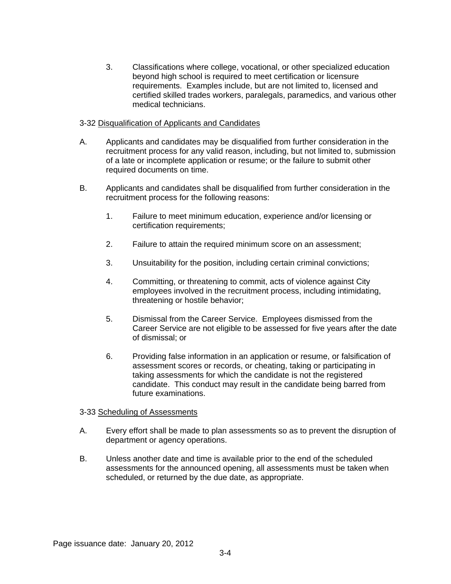3. Classifications where college, vocational, or other specialized education beyond high school is required to meet certification or licensure requirements. Examples include, but are not limited to, licensed and certified skilled trades workers, paralegals, paramedics, and various other medical technicians.

### 3-32 Disqualification of Applicants and Candidates

- A. Applicants and candidates may be disqualified from further consideration in the recruitment process for any valid reason, including, but not limited to, submission of a late or incomplete application or resume; or the failure to submit other required documents on time.
- B. Applicants and candidates shall be disqualified from further consideration in the recruitment process for the following reasons:
	- 1. Failure to meet minimum education, experience and/or licensing or certification requirements;
	- 2. Failure to attain the required minimum score on an assessment;
	- 3. Unsuitability for the position, including certain criminal convictions;
	- 4. Committing, or threatening to commit, acts of violence against City employees involved in the recruitment process, including intimidating, threatening or hostile behavior;
	- 5. Dismissal from the Career Service. Employees dismissed from the Career Service are not eligible to be assessed for five years after the date of dismissal; or
	- 6. Providing false information in an application or resume, or falsification of assessment scores or records, or cheating, taking or participating in taking assessments for which the candidate is not the registered candidate. This conduct may result in the candidate being barred from future examinations.

## 3-33 Scheduling of Assessments

- A. Every effort shall be made to plan assessments so as to prevent the disruption of department or agency operations.
- B. Unless another date and time is available prior to the end of the scheduled assessments for the announced opening, all assessments must be taken when scheduled, or returned by the due date, as appropriate.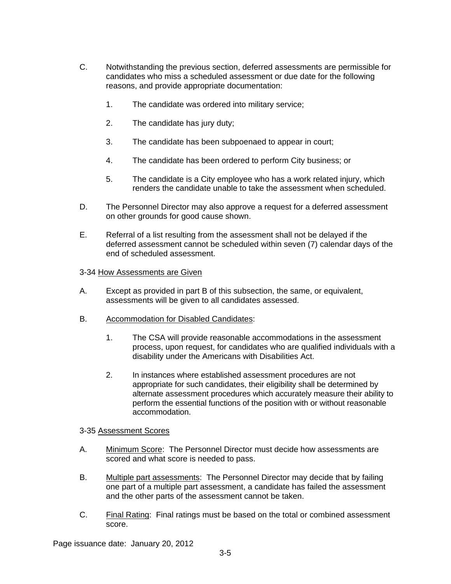- C. Notwithstanding the previous section, deferred assessments are permissible for candidates who miss a scheduled assessment or due date for the following reasons, and provide appropriate documentation:
	- 1. The candidate was ordered into military service;
	- 2. The candidate has jury duty;
	- 3. The candidate has been subpoenaed to appear in court;
	- 4. The candidate has been ordered to perform City business; or
	- 5. The candidate is a City employee who has a work related injury, which renders the candidate unable to take the assessment when scheduled.
- D. The Personnel Director may also approve a request for a deferred assessment on other grounds for good cause shown.
- E. Referral of a list resulting from the assessment shall not be delayed if the deferred assessment cannot be scheduled within seven (7) calendar days of the end of scheduled assessment.

### 3-34 How Assessments are Given

- A. Except as provided in part B of this subsection, the same, or equivalent, assessments will be given to all candidates assessed.
- B. Accommodation for Disabled Candidates:
	- 1. The CSA will provide reasonable accommodations in the assessment process, upon request, for candidates who are qualified individuals with a disability under the Americans with Disabilities Act.
	- 2. In instances where established assessment procedures are not appropriate for such candidates, their eligibility shall be determined by alternate assessment procedures which accurately measure their ability to perform the essential functions of the position with or without reasonable accommodation.

## 3-35 Assessment Scores

- A. Minimum Score: The Personnel Director must decide how assessments are scored and what score is needed to pass.
- B. Multiple part assessments: The Personnel Director may decide that by failing one part of a multiple part assessment, a candidate has failed the assessment and the other parts of the assessment cannot be taken.
- C. Final Rating: Final ratings must be based on the total or combined assessment score.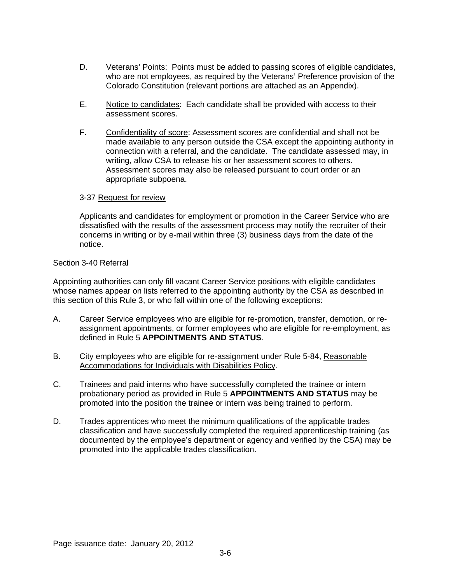- D. Veterans' Points: Points must be added to passing scores of eligible candidates, who are not employees, as required by the Veterans' Preference provision of the Colorado Constitution (relevant portions are attached as an Appendix).
- E. Notice to candidates: Each candidate shall be provided with access to their assessment scores.
- F. Confidentiality of score: Assessment scores are confidential and shall not be made available to any person outside the CSA except the appointing authority in connection with a referral, and the candidate. The candidate assessed may, in writing, allow CSA to release his or her assessment scores to others. Assessment scores may also be released pursuant to court order or an appropriate subpoena.

### 3-37 Request for review

Applicants and candidates for employment or promotion in the Career Service who are dissatisfied with the results of the assessment process may notify the recruiter of their concerns in writing or by e-mail within three (3) business days from the date of the notice.

#### Section 3-40 Referral

Appointing authorities can only fill vacant Career Service positions with eligible candidates whose names appear on lists referred to the appointing authority by the CSA as described in this section of this Rule 3, or who fall within one of the following exceptions:

- A. Career Service employees who are eligible for re-promotion, transfer, demotion, or reassignment appointments, or former employees who are eligible for re-employment, as defined in Rule 5 **APPOINTMENTS AND STATUS**.
- B. City employees who are eligible for re-assignment under Rule 5-84, Reasonable Accommodations for Individuals with Disabilities Policy.
- C. Trainees and paid interns who have successfully completed the trainee or intern probationary period as provided in Rule 5 **APPOINTMENTS AND STATUS** may be promoted into the position the trainee or intern was being trained to perform.
- D. Trades apprentices who meet the minimum qualifications of the applicable trades classification and have successfully completed the required apprenticeship training (as documented by the employee's department or agency and verified by the CSA) may be promoted into the applicable trades classification.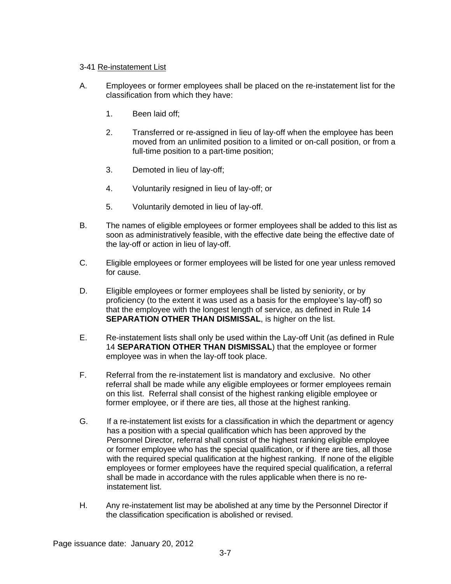## 3-41 Re-instatement List

- A. Employees or former employees shall be placed on the re-instatement list for the classification from which they have:
	- 1. Been laid off;
	- 2. Transferred or re-assigned in lieu of lay-off when the employee has been moved from an unlimited position to a limited or on-call position, or from a full-time position to a part-time position;
	- 3. Demoted in lieu of lay-off;
	- 4. Voluntarily resigned in lieu of lay-off; or
	- 5. Voluntarily demoted in lieu of lay-off.
- B. The names of eligible employees or former employees shall be added to this list as soon as administratively feasible, with the effective date being the effective date of the lay-off or action in lieu of lay-off.
- C. Eligible employees or former employees will be listed for one year unless removed for cause.
- D. Eligible employees or former employees shall be listed by seniority, or by proficiency (to the extent it was used as a basis for the employee's lay-off) so that the employee with the longest length of service, as defined in Rule 14 **SEPARATION OTHER THAN DISMISSAL**, is higher on the list.
- E. Re-instatement lists shall only be used within the Lay-off Unit (as defined in Rule 14 **SEPARATION OTHER THAN DISMISSAL**) that the employee or former employee was in when the lay-off took place.
- F. Referral from the re-instatement list is mandatory and exclusive. No other referral shall be made while any eligible employees or former employees remain on this list. Referral shall consist of the highest ranking eligible employee or former employee, or if there are ties, all those at the highest ranking.
- G. If a re-instatement list exists for a classification in which the department or agency has a position with a special qualification which has been approved by the Personnel Director, referral shall consist of the highest ranking eligible employee or former employee who has the special qualification, or if there are ties, all those with the required special qualification at the highest ranking. If none of the eligible employees or former employees have the required special qualification, a referral shall be made in accordance with the rules applicable when there is no reinstatement list.
- H. Any re-instatement list may be abolished at any time by the Personnel Director if the classification specification is abolished or revised.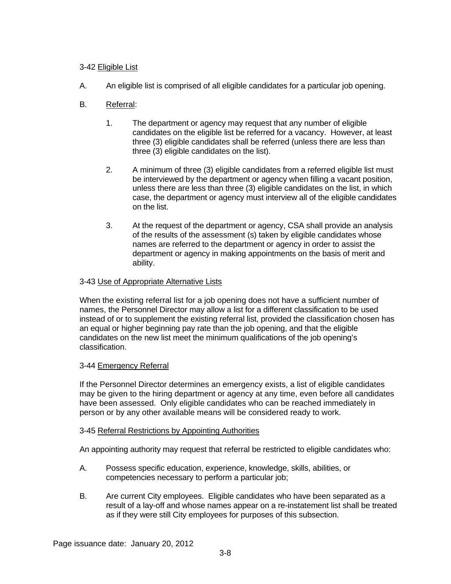# 3-42 Eligible List

A. An eligible list is comprised of all eligible candidates for a particular job opening.

# B. Referral:

- 1. The department or agency may request that any number of eligible candidates on the eligible list be referred for a vacancy. However, at least three (3) eligible candidates shall be referred (unless there are less than three (3) eligible candidates on the list).
- 2. A minimum of three (3) eligible candidates from a referred eligible list must be interviewed by the department or agency when filling a vacant position, unless there are less than three (3) eligible candidates on the list, in which case, the department or agency must interview all of the eligible candidates on the list.
- 3. At the request of the department or agency, CSA shall provide an analysis of the results of the assessment (s) taken by eligible candidates whose names are referred to the department or agency in order to assist the department or agency in making appointments on the basis of merit and ability.

## 3-43 Use of Appropriate Alternative Lists

When the existing referral list for a job opening does not have a sufficient number of names, the Personnel Director may allow a list for a different classification to be used instead of or to supplement the existing referral list, provided the classification chosen has an equal or higher beginning pay rate than the job opening, and that the eligible candidates on the new list meet the minimum qualifications of the job opening's classification.

## 3-44 Emergency Referral

If the Personnel Director determines an emergency exists, a list of eligible candidates may be given to the hiring department or agency at any time, even before all candidates have been assessed. Only eligible candidates who can be reached immediately in person or by any other available means will be considered ready to work.

## 3-45 Referral Restrictions by Appointing Authorities

An appointing authority may request that referral be restricted to eligible candidates who:

- A. Possess specific education, experience, knowledge, skills, abilities, or competencies necessary to perform a particular job;
- B. Are current City employees. Eligible candidates who have been separated as a result of a lay-off and whose names appear on a re-instatement list shall be treated as if they were still City employees for purposes of this subsection.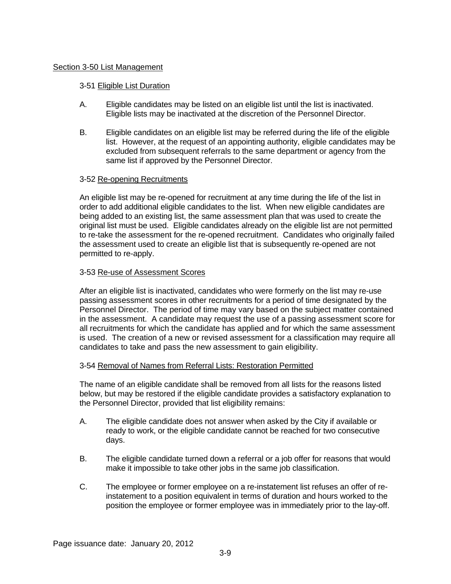### Section 3-50 List Management

### 3-51 Eligible List Duration

- A. Eligible candidates may be listed on an eligible list until the list is inactivated. Eligible lists may be inactivated at the discretion of the Personnel Director.
- B. Eligible candidates on an eligible list may be referred during the life of the eligible list. However, at the request of an appointing authority, eligible candidates may be excluded from subsequent referrals to the same department or agency from the same list if approved by the Personnel Director.

### 3-52 Re-opening Recruitments

An eligible list may be re-opened for recruitment at any time during the life of the list in order to add additional eligible candidates to the list. When new eligible candidates are being added to an existing list, the same assessment plan that was used to create the original list must be used. Eligible candidates already on the eligible list are not permitted to re-take the assessment for the re-opened recruitment. Candidates who originally failed the assessment used to create an eligible list that is subsequently re-opened are not permitted to re-apply.

### 3-53 Re-use of Assessment Scores

After an eligible list is inactivated, candidates who were formerly on the list may re-use passing assessment scores in other recruitments for a period of time designated by the Personnel Director. The period of time may vary based on the subject matter contained in the assessment. A candidate may request the use of a passing assessment score for all recruitments for which the candidate has applied and for which the same assessment is used. The creation of a new or revised assessment for a classification may require all candidates to take and pass the new assessment to gain eligibility.

#### 3-54 Removal of Names from Referral Lists: Restoration Permitted

The name of an eligible candidate shall be removed from all lists for the reasons listed below, but may be restored if the eligible candidate provides a satisfactory explanation to the Personnel Director, provided that list eligibility remains:

- A. The eligible candidate does not answer when asked by the City if available or ready to work, or the eligible candidate cannot be reached for two consecutive days.
- B. The eligible candidate turned down a referral or a job offer for reasons that would make it impossible to take other jobs in the same job classification.
- C. The employee or former employee on a re-instatement list refuses an offer of reinstatement to a position equivalent in terms of duration and hours worked to the position the employee or former employee was in immediately prior to the lay-off.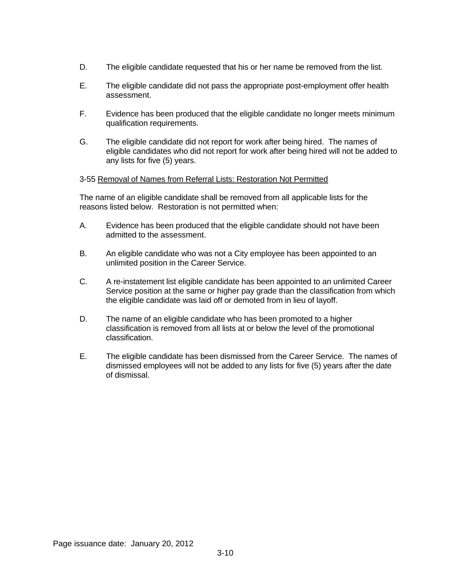- D. The eligible candidate requested that his or her name be removed from the list.
- E. The eligible candidate did not pass the appropriate post-employment offer health assessment.
- F. Evidence has been produced that the eligible candidate no longer meets minimum qualification requirements.
- G. The eligible candidate did not report for work after being hired. The names of eligible candidates who did not report for work after being hired will not be added to any lists for five (5) years.

## 3-55 Removal of Names from Referral Lists: Restoration Not Permitted

The name of an eligible candidate shall be removed from all applicable lists for the reasons listed below. Restoration is not permitted when:

- A. Evidence has been produced that the eligible candidate should not have been admitted to the assessment.
- B. An eligible candidate who was not a City employee has been appointed to an unlimited position in the Career Service.
- C. A re-instatement list eligible candidate has been appointed to an unlimited Career Service position at the same or higher pay grade than the classification from which the eligible candidate was laid off or demoted from in lieu of layoff.
- D. The name of an eligible candidate who has been promoted to a higher classification is removed from all lists at or below the level of the promotional classification.
- E. The eligible candidate has been dismissed from the Career Service. The names of dismissed employees will not be added to any lists for five (5) years after the date of dismissal.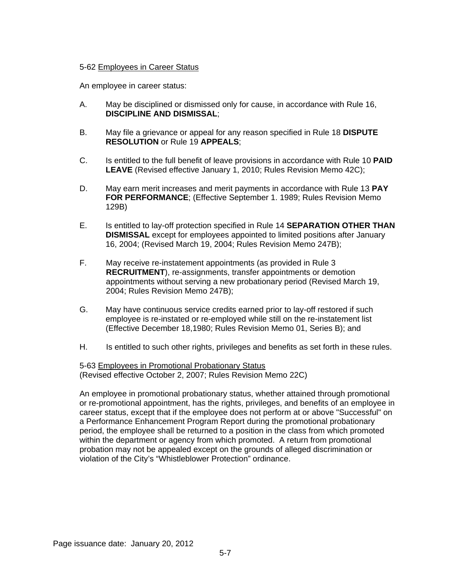## 5-62 Employees in Career Status

An employee in career status:

- A. May be disciplined or dismissed only for cause, in accordance with Rule 16, **DISCIPLINE AND DISMISSAL**;
- B. May file a grievance or appeal for any reason specified in Rule 18 **DISPUTE RESOLUTION** or Rule 19 **APPEALS**;
- C. Is entitled to the full benefit of leave provisions in accordance with Rule 10 **PAID LEAVE** (Revised effective January 1, 2010; Rules Revision Memo 42C);
- D. May earn merit increases and merit payments in accordance with Rule 13 **PAY FOR PERFORMANCE**; (Effective September 1. 1989; Rules Revision Memo 129B)
- E. Is entitled to lay-off protection specified in Rule 14 **SEPARATION OTHER THAN DISMISSAL** except for employees appointed to limited positions after January 16, 2004; (Revised March 19, 2004; Rules Revision Memo 247B);
- F. May receive re-instatement appointments (as provided in Rule 3 **RECRUITMENT**), re-assignments, transfer appointments or demotion appointments without serving a new probationary period (Revised March 19, 2004; Rules Revision Memo 247B);
- G. May have continuous service credits earned prior to lay-off restored if such employee is re-instated or re-employed while still on the re-instatement list (Effective December 18,1980; Rules Revision Memo 01, Series B); and
- H. Is entitled to such other rights, privileges and benefits as set forth in these rules.

5-63 Employees in Promotional Probationary Status (Revised effective October 2, 2007; Rules Revision Memo 22C)

An employee in promotional probationary status, whether attained through promotional or re-promotional appointment, has the rights, privileges, and benefits of an employee in career status, except that if the employee does not perform at or above "Successful" on a Performance Enhancement Program Report during the promotional probationary period, the employee shall be returned to a position in the class from which promoted within the department or agency from which promoted. A return from promotional probation may not be appealed except on the grounds of alleged discrimination or violation of the City's "Whistleblower Protection" ordinance.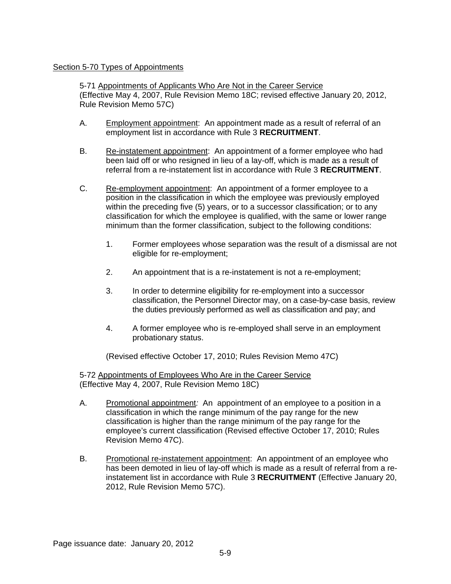## Section 5-70 Types of Appointments

5-71 Appointments of Applicants Who Are Not in the Career Service (Effective May 4, 2007, Rule Revision Memo 18C; revised effective January 20, 2012, Rule Revision Memo 57C)

- A. Employment appointment: An appointment made as a result of referral of an employment list in accordance with Rule 3 **RECRUITMENT**.
- B. Re-instatement appointment: An appointment of a former employee who had been laid off or who resigned in lieu of a lay-off, which is made as a result of referral from a re-instatement list in accordance with Rule 3 **RECRUITMENT**.
- C. Re-employment appointment: An appointment of a former employee to a position in the classification in which the employee was previously employed within the preceding five (5) years, or to a successor classification; or to any classification for which the employee is qualified, with the same or lower range minimum than the former classification, subject to the following conditions:
	- 1. Former employees whose separation was the result of a dismissal are not eligible for re-employment;
	- 2. An appointment that is a re-instatement is not a re-employment;
	- 3. In order to determine eligibility for re-employment into a successor classification, the Personnel Director may, on a case-by-case basis, review the duties previously performed as well as classification and pay; and
	- 4. A former employee who is re-employed shall serve in an employment probationary status.

(Revised effective October 17, 2010; Rules Revision Memo 47C)

5-72 Appointments of Employees Who Are in the Career Service (Effective May 4, 2007, Rule Revision Memo 18C)

- A. Promotional appointment*:* An appointment of an employee to a position in a classification in which the range minimum of the pay range for the new classification is higher than the range minimum of the pay range for the employee's current classification (Revised effective October 17, 2010; Rules Revision Memo 47C).
- B. Promotional re-instatement appointment: An appointment of an employee who has been demoted in lieu of lay-off which is made as a result of referral from a reinstatement list in accordance with Rule 3 **RECRUITMENT** (Effective January 20, 2012, Rule Revision Memo 57C).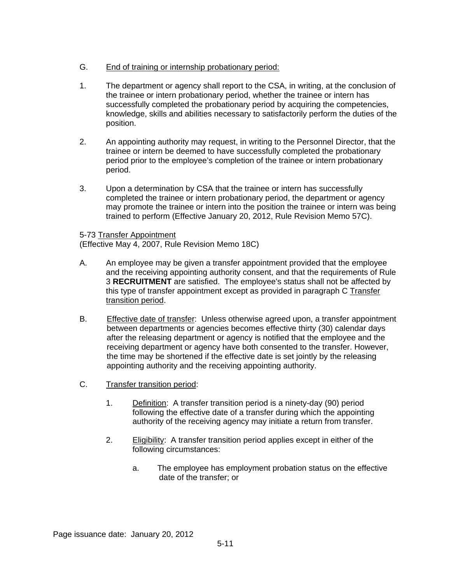# G. End of training or internship probationary period:

- 1. The department or agency shall report to the CSA, in writing, at the conclusion of the trainee or intern probationary period, whether the trainee or intern has successfully completed the probationary period by acquiring the competencies, knowledge, skills and abilities necessary to satisfactorily perform the duties of the position.
- 2. An appointing authority may request, in writing to the Personnel Director, that the trainee or intern be deemed to have successfully completed the probationary period prior to the employee's completion of the trainee or intern probationary period.
- 3. Upon a determination by CSA that the trainee or intern has successfully completed the trainee or intern probationary period, the department or agency may promote the trainee or intern into the position the trainee or intern was being trained to perform (Effective January 20, 2012, Rule Revision Memo 57C).

## 5-73 Transfer Appointment

(Effective May 4, 2007, Rule Revision Memo 18C)

- A. An employee may be given a transfer appointment provided that the employee and the receiving appointing authority consent, and that the requirements of Rule 3 **RECRUITMENT** are satisfied. The employee's status shall not be affected by this type of transfer appointment except as provided in paragraph C Transfer transition period.
- B. Effective date of transfer: Unless otherwise agreed upon, a transfer appointment between departments or agencies becomes effective thirty (30) calendar days after the releasing department or agency is notified that the employee and the receiving department or agency have both consented to the transfer. However, the time may be shortened if the effective date is set jointly by the releasing appointing authority and the receiving appointing authority.
- C. Transfer transition period:
	- 1. Definition: A transfer transition period is a ninety-day (90) period following the effective date of a transfer during which the appointing authority of the receiving agency may initiate a return from transfer.
	- 2. Eligibility: A transfer transition period applies except in either of the following circumstances:
		- a. The employee has employment probation status on the effective date of the transfer; or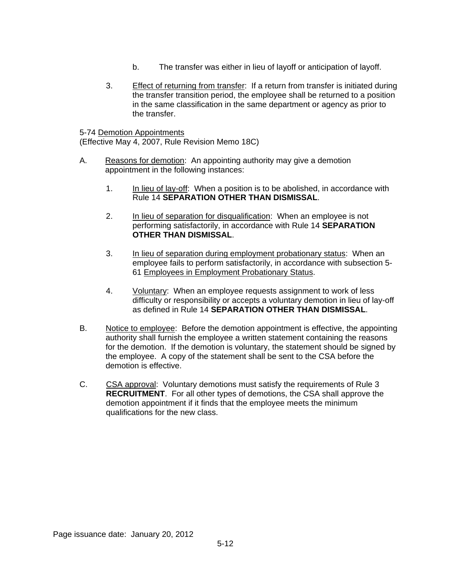- b. The transfer was either in lieu of layoff or anticipation of layoff.
- 3. Effect of returning from transfer: If a return from transfer is initiated during the transfer transition period, the employee shall be returned to a position in the same classification in the same department or agency as prior to the transfer.

5-74 Demotion Appointments (Effective May 4, 2007, Rule Revision Memo 18C)

- A. Reasons for demotion: An appointing authority may give a demotion appointment in the following instances:
	- 1. In lieu of lay-off: When a position is to be abolished, in accordance with Rule 14 **SEPARATION OTHER THAN DISMISSAL**.
	- 2. In lieu of separation for disqualification: When an employee is not performing satisfactorily, in accordance with Rule 14 **SEPARATION OTHER THAN DISMISSAL**.
	- 3. In lieu of separation during employment probationary status: When an employee fails to perform satisfactorily, in accordance with subsection 5- 61 Employees in Employment Probationary Status.
	- 4. Voluntary: When an employee requests assignment to work of less difficulty or responsibility or accepts a voluntary demotion in lieu of lay-off as defined in Rule 14 **SEPARATION OTHER THAN DISMISSAL**.
- B. Notice to employee: Before the demotion appointment is effective, the appointing authority shall furnish the employee a written statement containing the reasons for the demotion. If the demotion is voluntary, the statement should be signed by the employee. A copy of the statement shall be sent to the CSA before the demotion is effective.
- C. CSA approval: Voluntary demotions must satisfy the requirements of Rule 3 **RECRUITMENT**. For all other types of demotions, the CSA shall approve the demotion appointment if it finds that the employee meets the minimum qualifications for the new class.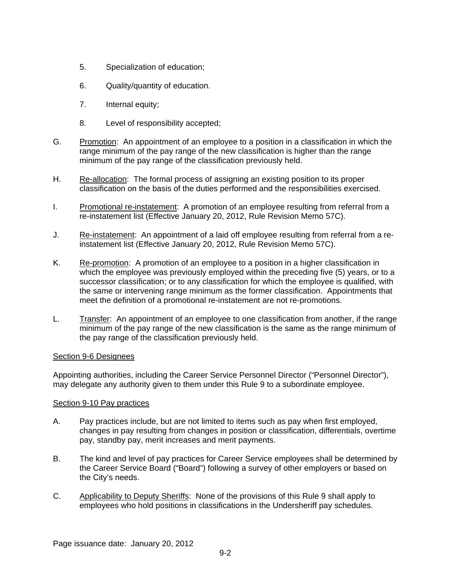- 5. Specialization of education;
- 6. Quality/quantity of education.
- 7. Internal equity;
- 8. Level of responsibility accepted;
- G. Promotion: An appointment of an employee to a position in a classification in which the range minimum of the pay range of the new classification is higher than the range minimum of the pay range of the classification previously held.
- H. Re-allocation: The formal process of assigning an existing position to its proper classification on the basis of the duties performed and the responsibilities exercised.
- I. Promotional re-instatement: A promotion of an employee resulting from referral from a re-instatement list (Effective January 20, 2012, Rule Revision Memo 57C).
- J. Re-instatement: An appointment of a laid off employee resulting from referral from a reinstatement list (Effective January 20, 2012, Rule Revision Memo 57C).
- K. Re-promotion: A promotion of an employee to a position in a higher classification in which the employee was previously employed within the preceding five (5) years, or to a successor classification; or to any classification for which the employee is qualified, with the same or intervening range minimum as the former classification. Appointments that meet the definition of a promotional re-instatement are not re-promotions.
- L. Transfer: An appointment of an employee to one classification from another, if the range minimum of the pay range of the new classification is the same as the range minimum of the pay range of the classification previously held.

## Section 9-6 Designees

Appointing authorities, including the Career Service Personnel Director ("Personnel Director"), may delegate any authority given to them under this Rule 9 to a subordinate employee.

#### Section 9-10 Pay practices

- A. Pay practices include, but are not limited to items such as pay when first employed, changes in pay resulting from changes in position or classification, differentials, overtime pay, standby pay, merit increases and merit payments.
- B. The kind and level of pay practices for Career Service employees shall be determined by the Career Service Board ("Board") following a survey of other employers or based on the City's needs.
- C. Applicability to Deputy Sheriffs:None of the provisions of this Rule 9 shall apply to employees who hold positions in classifications in the Undersheriff pay schedules.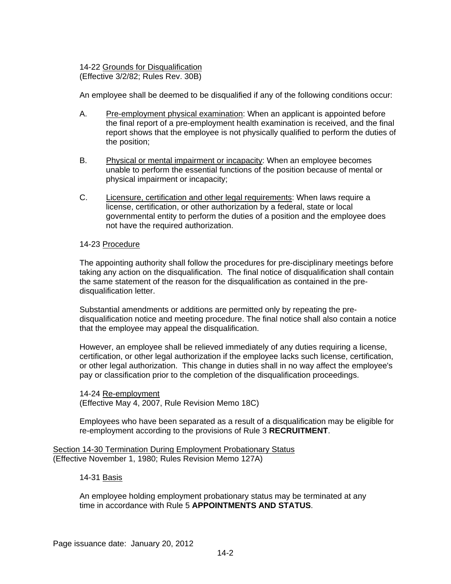14-22 Grounds for Disqualification (Effective 3/2/82; Rules Rev. 30B)

An employee shall be deemed to be disqualified if any of the following conditions occur:

- A. Pre-employment physical examination: When an applicant is appointed before the final report of a pre-employment health examination is received, and the final report shows that the employee is not physically qualified to perform the duties of the position;
- B. Physical or mental impairment or incapacity: When an employee becomes unable to perform the essential functions of the position because of mental or physical impairment or incapacity;
- C. Licensure, certification and other legal requirements: When laws require a license, certification, or other authorization by a federal, state or local governmental entity to perform the duties of a position and the employee does not have the required authorization.

#### 14-23 Procedure

The appointing authority shall follow the procedures for pre-disciplinary meetings before taking any action on the disqualification. The final notice of disqualification shall contain the same statement of the reason for the disqualification as contained in the predisqualification letter.

Substantial amendments or additions are permitted only by repeating the predisqualification notice and meeting procedure. The final notice shall also contain a notice that the employee may appeal the disqualification.

However, an employee shall be relieved immediately of any duties requiring a license, certification, or other legal authorization if the employee lacks such license, certification, or other legal authorization. This change in duties shall in no way affect the employee's pay or classification prior to the completion of the disqualification proceedings.

14-24 Re-employment (Effective May 4, 2007, Rule Revision Memo 18C)

Employees who have been separated as a result of a disqualification may be eligible for re-employment according to the provisions of Rule 3 **RECRUITMENT**.

Section 14-30 Termination During Employment Probationary Status (Effective November 1, 1980; Rules Revision Memo 127A)

14-31 Basis

An employee holding employment probationary status may be terminated at any time in accordance with Rule 5 **APPOINTMENTS AND STATUS**.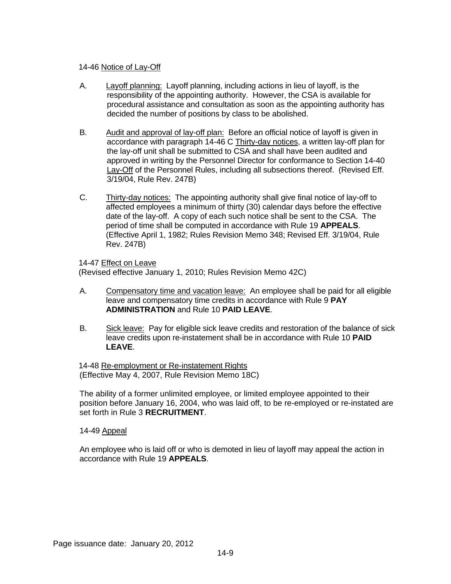## 14-46 Notice of Lay-Off

- A. Layoff planning: Layoff planning, including actions in lieu of layoff, is the responsibility of the appointing authority. However, the CSA is available for procedural assistance and consultation as soon as the appointing authority has decided the number of positions by class to be abolished.
- B. Audit and approval of lay-off plan: Before an official notice of layoff is given in accordance with paragraph 14-46 C Thirty-day notices, a written lay-off plan for the lay-off unit shall be submitted to CSA and shall have been audited and approved in writing by the Personnel Director for conformance to Section 14-40 Lay-Off of the Personnel Rules, including all subsections thereof. (Revised Eff. 3/19/04, Rule Rev. 247B)
- C. Thirty-day notices: The appointing authority shall give final notice of lay-off to affected employees a minimum of thirty (30) calendar days before the effective date of the lay-off. A copy of each such notice shall be sent to the CSA. The period of time shall be computed in accordance with Rule 19 **APPEALS**. (Effective April 1, 1982; Rules Revision Memo 348; Revised Eff. 3/19/04, Rule Rev. 247B)

14-47 Effect on Leave

(Revised effective January 1, 2010; Rules Revision Memo 42C)

- A. Compensatory time and vacation leave: An employee shall be paid for all eligible leave and compensatory time credits in accordance with Rule 9 **PAY ADMINISTRATION** and Rule 10 **PAID LEAVE**.
- B. Sick leave: Pay for eligible sick leave credits and restoration of the balance of sick leave credits upon re-instatement shall be in accordance with Rule 10 **PAID LEAVE**.

14-48 Re-employment or Re-instatement Rights (Effective May 4, 2007, Rule Revision Memo 18C)

The ability of a former unlimited employee, or limited employee appointed to their position before January 16, 2004, who was laid off, to be re-employed or re-instated are set forth in Rule 3 **RECRUITMENT**.

## 14-49 Appeal

An employee who is laid off or who is demoted in lieu of layoff may appeal the action in accordance with Rule 19 **APPEALS**.